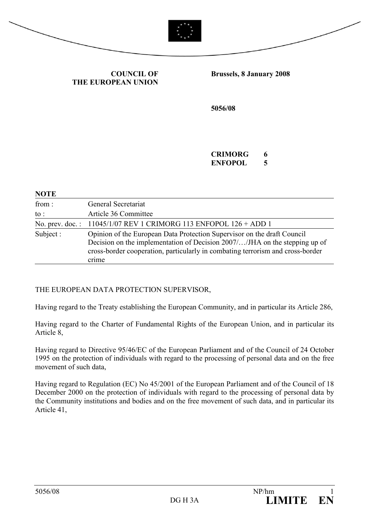



COUNCIL OF THE EUROPEAN UNION Brussels, 8 January 2008

5056/08

CRIMORG 6 ENFOPOL 5

| <b>NOTE</b>     |                                                                                                                                                                                                                                                  |
|-----------------|--------------------------------------------------------------------------------------------------------------------------------------------------------------------------------------------------------------------------------------------------|
| from:           | General Secretariat                                                                                                                                                                                                                              |
| $\mathsf{to}$ : | Article 36 Committee                                                                                                                                                                                                                             |
|                 | No. prev. doc.: 11045/1/07 REV 1 CRIMORG 113 ENFOPOL 126 + ADD 1                                                                                                                                                                                 |
| Subject:        | Opinion of the European Data Protection Supervisor on the draft Council<br>Decision on the implementation of Decision 2007//JHA on the stepping up of<br>cross-border cooperation, particularly in combating terrorism and cross-border<br>crime |

#### THE EUROPEAN DATA PROTECTION SUPERVISOR,

Having regard to the Treaty establishing the European Community, and in particular its Article 286,

Having regard to the Charter of Fundamental Rights of the European Union, and in particular its Article 8,

Having regard to Directive 95/46/EC of the European Parliament and of the Council of 24 October 1995 on the protection of individuals with regard to the processing of personal data and on the free movement of such data,

Having regard to Regulation (EC) No 45/2001 of the European Parliament and of the Council of 18 December 2000 on the protection of individuals with regard to the processing of personal data by the Community institutions and bodies and on the free movement of such data, and in particular its Article 41,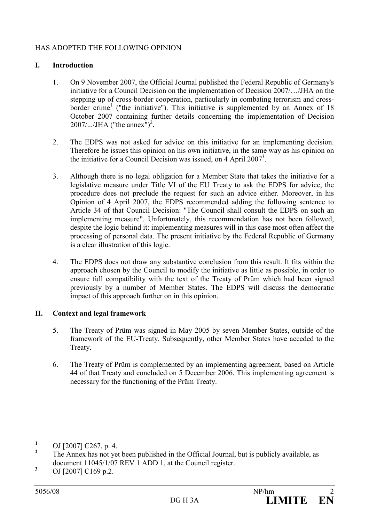# HAS ADOPTED THE FOLLOWING OPINION

### I. Introduction

- 1. On 9 November 2007, the Official Journal published the Federal Republic of Germany's initiative for a Council Decision on the implementation of Decision 2007/…/JHA on the stepping up of cross-border cooperation, particularly in combating terrorism and crossborder crime<sup>1</sup> ("the initiative"). This initiative is supplemented by an Annex of 18 October 2007 containing further details concerning the implementation of Decision 2007/.../JHA ("the annex")<sup>2</sup>.
- 2. The EDPS was not asked for advice on this initiative for an implementing decision. Therefore he issues this opinion on his own initiative, in the same way as his opinion on the initiative for a Council Decision was issued, on  $4$  April 2007<sup>3</sup>.
- 3. Although there is no legal obligation for a Member State that takes the initiative for a legislative measure under Title VI of the EU Treaty to ask the EDPS for advice, the procedure does not preclude the request for such an advice either. Moreover, in his Opinion of 4 April 2007, the EDPS recommended adding the following sentence to Article 34 of that Council Decision: "The Council shall consult the EDPS on such an implementing measure". Unfortunately, this recommendation has not been followed, despite the logic behind it: implementing measures will in this case most often affect the processing of personal data. The present initiative by the Federal Republic of Germany is a clear illustration of this logic.
- 4. The EDPS does not draw any substantive conclusion from this result. It fits within the approach chosen by the Council to modify the initiative as little as possible, in order to ensure full compatibility with the text of the Treaty of Prüm which had been signed previously by a number of Member States. The EDPS will discuss the democratic impact of this approach further on in this opinion.

#### II. Context and legal framework

- 5. The Treaty of Prüm was signed in May 2005 by seven Member States, outside of the framework of the EU-Treaty. Subsequently, other Member States have acceded to the Treaty.
- 6. The Treaty of Prüm is complemented by an implementing agreement, based on Article 44 of that Treaty and concluded on 5 December 2006. This implementing agreement is necessary for the functioning of the Prüm Treaty.

 $\frac{1}{1}$ OJ [2007] C267, p. 4.

<sup>2</sup> The Annex has not yet been published in the Official Journal, but is publicly available, as document 11045/1/07 REV 1 ADD 1, at the Council register.

<sup>3</sup> OJ [2007] C169 p.2.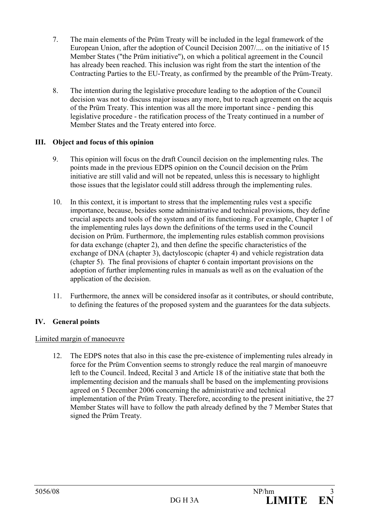- 7. The main elements of the Prüm Treaty will be included in the legal framework of the European Union, after the adoption of Council Decision 2007/.... on the initiative of 15 Member States ("the Prüm initiative"), on which a political agreement in the Council has already been reached. This inclusion was right from the start the intention of the Contracting Parties to the EU-Treaty, as confirmed by the preamble of the Prüm-Treaty.
- 8. The intention during the legislative procedure leading to the adoption of the Council decision was not to discuss major issues any more, but to reach agreement on the acquis of the Prüm Treaty. This intention was all the more important since - pending this legislative procedure - the ratification process of the Treaty continued in a number of Member States and the Treaty entered into force.

## III. Object and focus of this opinion

- 9. This opinion will focus on the draft Council decision on the implementing rules. The points made in the previous EDPS opinion on the Council decision on the Prüm initiative are still valid and will not be repeated, unless this is necessary to highlight those issues that the legislator could still address through the implementing rules.
- 10. In this context, it is important to stress that the implementing rules vest a specific importance, because, besides some administrative and technical provisions, they define crucial aspects and tools of the system and of its functioning. For example, Chapter 1 of the implementing rules lays down the definitions of the terms used in the Council decision on Prüm. Furthermore, the implementing rules establish common provisions for data exchange (chapter 2), and then define the specific characteristics of the exchange of DNA (chapter 3), dactyloscopic (chapter 4) and vehicle registration data (chapter 5). The final provisions of chapter 6 contain important provisions on the adoption of further implementing rules in manuals as well as on the evaluation of the application of the decision.
- 11. Furthermore, the annex will be considered insofar as it contributes, or should contribute, to defining the features of the proposed system and the guarantees for the data subjects.

## IV. General points

## Limited margin of manoeuvre

12. The EDPS notes that also in this case the pre-existence of implementing rules already in force for the Prüm Convention seems to strongly reduce the real margin of manoeuvre left to the Council. Indeed, Recital 3 and Article 18 of the initiative state that both the implementing decision and the manuals shall be based on the implementing provisions agreed on 5 December 2006 concerning the administrative and technical implementation of the Prüm Treaty. Therefore, according to the present initiative, the 27 Member States will have to follow the path already defined by the 7 Member States that signed the Prüm Treaty.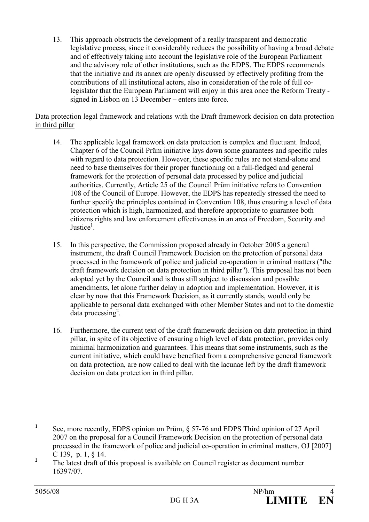13. This approach obstructs the development of a really transparent and democratic legislative process, since it considerably reduces the possibility of having a broad debate and of effectively taking into account the legislative role of the European Parliament and the advisory role of other institutions, such as the EDPS. The EDPS recommends that the initiative and its annex are openly discussed by effectively profiting from the contributions of all institutional actors, also in consideration of the role of full colegislator that the European Parliament will enjoy in this area once the Reform Treaty signed in Lisbon on 13 December – enters into force.

#### Data protection legal framework and relations with the Draft framework decision on data protection in third pillar

- 14. The applicable legal framework on data protection is complex and fluctuant. Indeed, Chapter 6 of the Council Prüm initiative lays down some guarantees and specific rules with regard to data protection. However, these specific rules are not stand-alone and need to base themselves for their proper functioning on a full-fledged and general framework for the protection of personal data processed by police and judicial authorities. Currently, Article 25 of the Council Prüm initiative refers to Convention 108 of the Council of Europe. However, the EDPS has repeatedly stressed the need to further specify the principles contained in Convention 108, thus ensuring a level of data protection which is high, harmonized, and therefore appropriate to guarantee both citizens rights and law enforcement effectiveness in an area of Freedom, Security and Justice<sup>1</sup>.
- 15. In this perspective, the Commission proposed already in October 2005 a general instrument, the draft Council Framework Decision on the protection of personal data processed in the framework of police and judicial co-operation in criminal matters ("the draft framework decision on data protection in third pillar"). This proposal has not been adopted yet by the Council and is thus still subject to discussion and possible amendments, let alone further delay in adoption and implementation. However, it is clear by now that this Framework Decision, as it currently stands, would only be applicable to personal data exchanged with other Member States and not to the domestic data processing<sup>2</sup>.
- 16. Furthermore, the current text of the draft framework decision on data protection in third pillar, in spite of its objective of ensuring a high level of data protection, provides only minimal harmonization and guarantees. This means that some instruments, such as the current initiative, which could have benefited from a comprehensive general framework on data protection, are now called to deal with the lacunae left by the draft framework decision on data protection in third pillar.

 $\frac{1}{1}$  See, more recently, EDPS opinion on Prüm, § 57-76 and EDPS Third opinion of 27 April 2007 on the proposal for a Council Framework Decision on the protection of personal data processed in the framework of police and judicial co-operation in criminal matters, OJ [2007] C 139, p. 1, § 14.

<sup>2</sup> The latest draft of this proposal is available on Council register as document number 16397/07.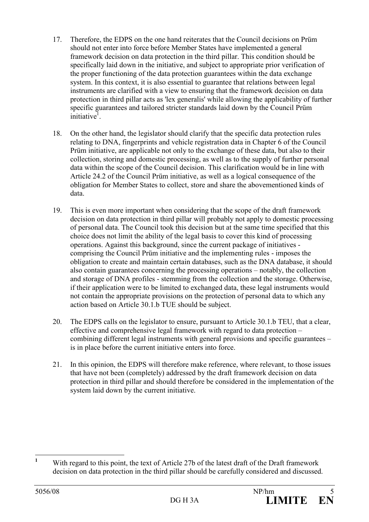- 17. Therefore, the EDPS on the one hand reiterates that the Council decisions on Prüm should not enter into force before Member States have implemented a general framework decision on data protection in the third pillar. This condition should be specifically laid down in the initiative, and subject to appropriate prior verification of the proper functioning of the data protection guarantees within the data exchange system. In this context, it is also essential to guarantee that relations between legal instruments are clarified with a view to ensuring that the framework decision on data protection in third pillar acts as 'lex generalis' while allowing the applicability of further specific guarantees and tailored stricter standards laid down by the Council Prüm initiative<sup>1</sup>.
- 18. On the other hand, the legislator should clarify that the specific data protection rules relating to DNA, fingerprints and vehicle registration data in Chapter 6 of the Council Prüm initiative, are applicable not only to the exchange of these data, but also to their collection, storing and domestic processing, as well as to the supply of further personal data within the scope of the Council decision. This clarification would be in line with Article 24.2 of the Council Prüm initiative, as well as a logical consequence of the obligation for Member States to collect, store and share the abovementioned kinds of data.
- 19. This is even more important when considering that the scope of the draft framework decision on data protection in third pillar will probably not apply to domestic processing of personal data. The Council took this decision but at the same time specified that this choice does not limit the ability of the legal basis to cover this kind of processing operations. Against this background, since the current package of initiatives comprising the Council Prüm initiative and the implementing rules - imposes the obligation to create and maintain certain databases, such as the DNA database, it should also contain guarantees concerning the processing operations – notably, the collection and storage of DNA profiles - stemming from the collection and the storage. Otherwise, if their application were to be limited to exchanged data, these legal instruments would not contain the appropriate provisions on the protection of personal data to which any action based on Article 30.1.b TUE should be subject.
- 20. The EDPS calls on the legislator to ensure, pursuant to Article 30.1.b TEU, that a clear, effective and comprehensive legal framework with regard to data protection – combining different legal instruments with general provisions and specific guarantees – is in place before the current initiative enters into force.
- 21. In this opinion, the EDPS will therefore make reference, where relevant, to those issues that have not been (completely) addressed by the draft framework decision on data protection in third pillar and should therefore be considered in the implementation of the system laid down by the current initiative.

 $\frac{1}{1}$  With regard to this point, the text of Article 27b of the latest draft of the Draft framework decision on data protection in the third pillar should be carefully considered and discussed.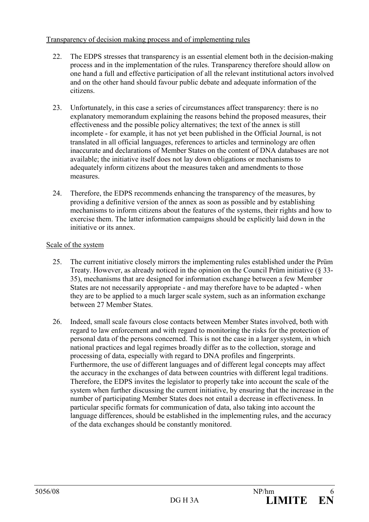### Transparency of decision making process and of implementing rules

- 22. The EDPS stresses that transparency is an essential element both in the decision-making process and in the implementation of the rules. Transparency therefore should allow on one hand a full and effective participation of all the relevant institutional actors involved and on the other hand should favour public debate and adequate information of the citizens.
- 23. Unfortunately, in this case a series of circumstances affect transparency: there is no explanatory memorandum explaining the reasons behind the proposed measures, their effectiveness and the possible policy alternatives; the text of the annex is still incomplete - for example, it has not yet been published in the Official Journal, is not translated in all official languages, references to articles and terminology are often inaccurate and declarations of Member States on the content of DNA databases are not available; the initiative itself does not lay down obligations or mechanisms to adequately inform citizens about the measures taken and amendments to those measures.
- 24. Therefore, the EDPS recommends enhancing the transparency of the measures, by providing a definitive version of the annex as soon as possible and by establishing mechanisms to inform citizens about the features of the systems, their rights and how to exercise them. The latter information campaigns should be explicitly laid down in the initiative or its annex.

### Scale of the system

- 25. The current initiative closely mirrors the implementing rules established under the Prüm Treaty. However, as already noticed in the opinion on the Council Prüm initiative (§ 33- 35), mechanisms that are designed for information exchange between a few Member States are not necessarily appropriate - and may therefore have to be adapted - when they are to be applied to a much larger scale system, such as an information exchange between 27 Member States.
- 26. Indeed, small scale favours close contacts between Member States involved, both with regard to law enforcement and with regard to monitoring the risks for the protection of personal data of the persons concerned. This is not the case in a larger system, in which national practices and legal regimes broadly differ as to the collection, storage and processing of data, especially with regard to DNA profiles and fingerprints. Furthermore, the use of different languages and of different legal concepts may affect the accuracy in the exchanges of data between countries with different legal traditions. Therefore, the EDPS invites the legislator to properly take into account the scale of the system when further discussing the current initiative, by ensuring that the increase in the number of participating Member States does not entail a decrease in effectiveness. In particular specific formats for communication of data, also taking into account the language differences, should be established in the implementing rules, and the accuracy of the data exchanges should be constantly monitored.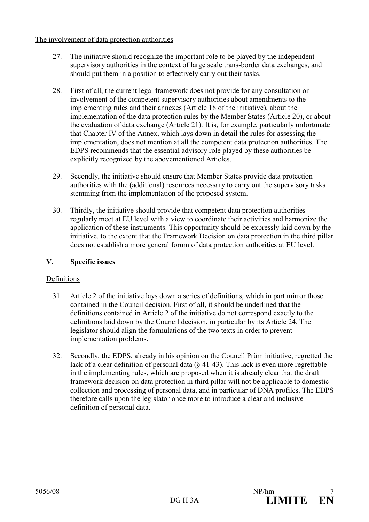### The involvement of data protection authorities

- 27. The initiative should recognize the important role to be played by the independent supervisory authorities in the context of large scale trans-border data exchanges, and should put them in a position to effectively carry out their tasks.
- 28. First of all, the current legal framework does not provide for any consultation or involvement of the competent supervisory authorities about amendments to the implementing rules and their annexes (Article 18 of the initiative), about the implementation of the data protection rules by the Member States (Article 20), or about the evaluation of data exchange (Article 21). It is, for example, particularly unfortunate that Chapter IV of the Annex, which lays down in detail the rules for assessing the implementation, does not mention at all the competent data protection authorities. The EDPS recommends that the essential advisory role played by these authorities be explicitly recognized by the abovementioned Articles.
- 29. Secondly, the initiative should ensure that Member States provide data protection authorities with the (additional) resources necessary to carry out the supervisory tasks stemming from the implementation of the proposed system.
- 30. Thirdly, the initiative should provide that competent data protection authorities regularly meet at EU level with a view to coordinate their activities and harmonize the application of these instruments. This opportunity should be expressly laid down by the initiative, to the extent that the Framework Decision on data protection in the third pillar does not establish a more general forum of data protection authorities at EU level.

## V. Specific issues

## Definitions

- 31. Article 2 of the initiative lays down a series of definitions, which in part mirror those contained in the Council decision. First of all, it should be underlined that the definitions contained in Article 2 of the initiative do not correspond exactly to the definitions laid down by the Council decision, in particular by its Article 24. The legislator should align the formulations of the two texts in order to prevent implementation problems.
- 32. Secondly, the EDPS, already in his opinion on the Council Prüm initiative, regretted the lack of a clear definition of personal data  $(\S 41-43)$ . This lack is even more regrettable in the implementing rules, which are proposed when it is already clear that the draft framework decision on data protection in third pillar will not be applicable to domestic collection and processing of personal data, and in particular of DNA profiles. The EDPS therefore calls upon the legislator once more to introduce a clear and inclusive definition of personal data.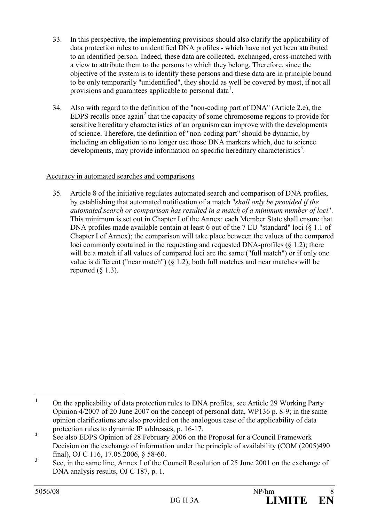- 33. In this perspective, the implementing provisions should also clarify the applicability of data protection rules to unidentified DNA profiles - which have not yet been attributed to an identified person. Indeed, these data are collected, exchanged, cross-matched with a view to attribute them to the persons to which they belong. Therefore, since the objective of the system is to identify these persons and these data are in principle bound to be only temporarily "unidentified", they should as well be covered by most, if not all provisions and guarantees applicable to personal data<sup>1</sup>.
- 34. Also with regard to the definition of the "non-coding part of DNA" (Article 2.e), the EDPS recalls once again<sup>2</sup> that the capacity of some chromosome regions to provide for sensitive hereditary characteristics of an organism can improve with the developments of science. Therefore, the definition of "non-coding part" should be dynamic, by including an obligation to no longer use those DNA markers which, due to science developments, may provide information on specific hereditary characteristics<sup>3</sup>.

# Accuracy in automated searches and comparisons

35. Article 8 of the initiative regulates automated search and comparison of DNA profiles, by establishing that automated notification of a match "shall only be provided if the automated search or comparison has resulted in a match of a minimum number of loci". This minimum is set out in Chapter I of the Annex: each Member State shall ensure that DNA profiles made available contain at least 6 out of the 7 EU "standard" loci (8 1.1 of Chapter I of Annex); the comparison will take place between the values of the compared loci commonly contained in the requesting and requested DNA-profiles (§ 1.2); there will be a match if all values of compared loci are the same ("full match") or if only one value is different ("near match")  $(\S 1.2)$ ; both full matches and near matches will be reported  $(8\ 1.3)$ .

 $\frac{1}{1}$  On the applicability of data protection rules to DNA profiles, see Article 29 Working Party Opinion 4/2007 of 20 June 2007 on the concept of personal data, WP136 p. 8-9; in the same opinion clarifications are also provided on the analogous case of the applicability of data protection rules to dynamic IP addresses, p. 16-17.

<sup>2</sup> See also EDPS Opinion of 28 February 2006 on the Proposal for a Council Framework Decision on the exchange of information under the principle of availability (COM (2005)490 final), OJ C 116, 17.05.2006, § 58-60.

<sup>3</sup> See, in the same line, Annex I of the Council Resolution of 25 June 2001 on the exchange of DNA analysis results, OJ C 187, p. 1.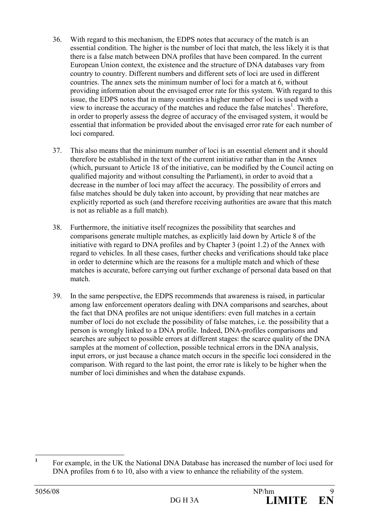- 36. With regard to this mechanism, the EDPS notes that accuracy of the match is an essential condition. The higher is the number of loci that match, the less likely it is that there is a false match between DNA profiles that have been compared. In the current European Union context, the existence and the structure of DNA databases vary from country to country. Different numbers and different sets of loci are used in different countries. The annex sets the minimum number of loci for a match at 6, without providing information about the envisaged error rate for this system. With regard to this issue, the EDPS notes that in many countries a higher number of loci is used with a view to increase the accuracy of the matches and reduce the false matches<sup>1</sup>. Therefore, in order to properly assess the degree of accuracy of the envisaged system, it would be essential that information be provided about the envisaged error rate for each number of loci compared.
- 37. This also means that the minimum number of loci is an essential element and it should therefore be established in the text of the current initiative rather than in the Annex (which, pursuant to Article 18 of the initiative, can be modified by the Council acting on qualified majority and without consulting the Parliament), in order to avoid that a decrease in the number of loci may affect the accuracy. The possibility of errors and false matches should be duly taken into account, by providing that near matches are explicitly reported as such (and therefore receiving authorities are aware that this match is not as reliable as a full match).
- 38. Furthermore, the initiative itself recognizes the possibility that searches and comparisons generate multiple matches, as explicitly laid down by Article 8 of the initiative with regard to DNA profiles and by Chapter 3 (point 1.2) of the Annex with regard to vehicles. In all these cases, further checks and verifications should take place in order to determine which are the reasons for a multiple match and which of these matches is accurate, before carrying out further exchange of personal data based on that match.
- 39. In the same perspective, the EDPS recommends that awareness is raised, in particular among law enforcement operators dealing with DNA comparisons and searches, about the fact that DNA profiles are not unique identifiers: even full matches in a certain number of loci do not exclude the possibility of false matches, i.e. the possibility that a person is wrongly linked to a DNA profile. Indeed, DNA-profiles comparisons and searches are subject to possible errors at different stages: the scarce quality of the DNA samples at the moment of collection, possible technical errors in the DNA analysis, input errors, or just because a chance match occurs in the specific loci considered in the comparison. With regard to the last point, the error rate is likely to be higher when the number of loci diminishes and when the database expands.

 $\frac{1}{1}$  For example, in the UK the National DNA Database has increased the number of loci used for DNA profiles from 6 to 10, also with a view to enhance the reliability of the system.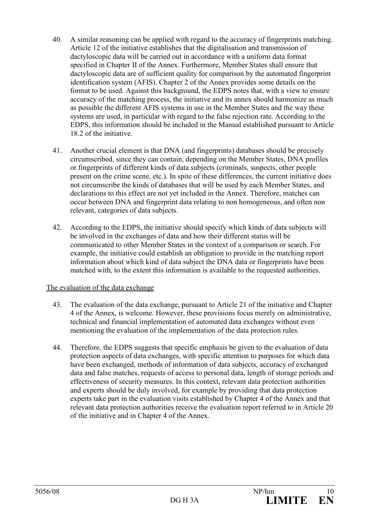- 40. A similar reasoning can be applied with regard to the accuracy of fingerprints matching. Article 12 of the initiative establishes that the digitalisation and transmission of dactyloscopic data will be carried out in accordance with a uniform data format specified in Chapter II of the Annex. Furthermore, Member States shall ensure that dactyloscopic data are of sufficient quality for comparison by the automated fingerprint identification system (AFIS). Chapter 2 of the Annex provides some details on the format to be used. Against this background, the EDPS notes that, with a view to ensure accuracy of the matching process, the initiative and its annex should harmonize as much as possible the different AFIS systems in use in the Member States and the way these systems are used, in particular with regard to the false rejection rate. According to the EDPS, this information should be included in the Manual established pursuant to Article 18.2 of the initiative.
- 41. Another crucial element is that DNA (and fingerprints) databases should be precisely circumscribed, since they can contain, depending on the Member States, DNA profiles or fingerprints of different kinds of data subjects (criminals, suspects, other people present on the crime scene, etc.). In spite of these differences, the current initiative does not circumscribe the kinds of databases that will be used by each Member States, and declarations to this effect are not yet included in the Annex. Therefore, matches can occur between DNA and fingerprint data relating to non homogeneous, and often non relevant, categories of data subjects.
- 42. According to the EDPS, the initiative should specify which kinds of data subjects will be involved in the exchanges of data and how their different status will be communicated to other Member States in the context of a comparison or search. For example, the initiative could establish an obligation to provide in the matching report information about which kind of data subject the DNA data or fingerprints have been matched with, to the extent this information is available to the requested authorities.

## The evaluation of the data exchange

- 43. The evaluation of the data exchange, pursuant to Article 21 of the initiative and Chapter 4 of the Annex, is welcome. However, these provisions focus merely on administrative, technical and financial implementation of automated data exchanges without even mentioning the evaluation of the implementation of the data protection rules.
- 44. Therefore, the EDPS suggests that specific emphasis be given to the evaluation of data protection aspects of data exchanges, with specific attention to purposes for which data have been exchanged, methods of information of data subjects, accuracy of exchanged data and false matches, requests of access to personal data, length of storage periods and effectiveness of security measures. In this context, relevant data protection authorities and experts should be duly involved, for example by providing that data protection experts take part in the evaluation visits established by Chapter 4 of the Annex and that relevant data protection authorities receive the evaluation report referred to in Article 20 of the initiative and in Chapter 4 of the Annex.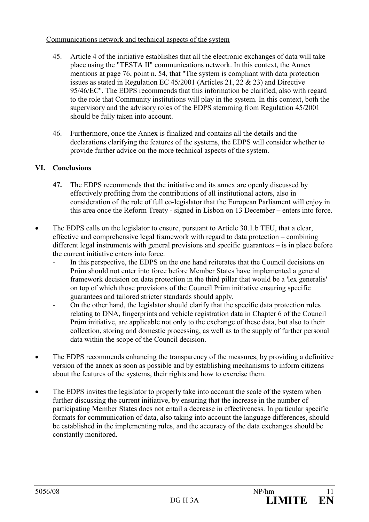### Communications network and technical aspects of the system

- 45. Article 4 of the initiative establishes that all the electronic exchanges of data will take place using the "TESTA II" communications network. In this context, the Annex mentions at page 76, point n. 54, that "The system is compliant with data protection issues as stated in Regulation EC 45/2001 (Articles 21, 22 & 23) and Directive 95/46/EC". The EDPS recommends that this information be clarified, also with regard to the role that Community institutions will play in the system. In this context, both the supervisory and the advisory roles of the EDPS stemming from Regulation 45/2001 should be fully taken into account.
- 46. Furthermore, once the Annex is finalized and contains all the details and the declarations clarifying the features of the systems, the EDPS will consider whether to provide further advice on the more technical aspects of the system.

# VI. Conclusions

- 47. The EDPS recommends that the initiative and its annex are openly discussed by effectively profiting from the contributions of all institutional actors, also in consideration of the role of full co-legislator that the European Parliament will enjoy in this area once the Reform Treaty - signed in Lisbon on 13 December – enters into force.
- The EDPS calls on the legislator to ensure, pursuant to Article 30.1.b TEU, that a clear, effective and comprehensive legal framework with regard to data protection – combining different legal instruments with general provisions and specific guarantees – is in place before the current initiative enters into force.
	- In this perspective, the EDPS on the one hand reiterates that the Council decisions on Prüm should not enter into force before Member States have implemented a general framework decision on data protection in the third pillar that would be a 'lex generalis' on top of which those provisions of the Council Prüm initiative ensuring specific guarantees and tailored stricter standards should apply.
	- On the other hand, the legislator should clarify that the specific data protection rules relating to DNA, fingerprints and vehicle registration data in Chapter 6 of the Council Prüm initiative, are applicable not only to the exchange of these data, but also to their collection, storing and domestic processing, as well as to the supply of further personal data within the scope of the Council decision.
- The EDPS recommends enhancing the transparency of the measures, by providing a definitive version of the annex as soon as possible and by establishing mechanisms to inform citizens about the features of the systems, their rights and how to exercise them.
- The EDPS invites the legislator to properly take into account the scale of the system when further discussing the current initiative, by ensuring that the increase in the number of participating Member States does not entail a decrease in effectiveness. In particular specific formats for communication of data, also taking into account the language differences, should be established in the implementing rules, and the accuracy of the data exchanges should be constantly monitored.